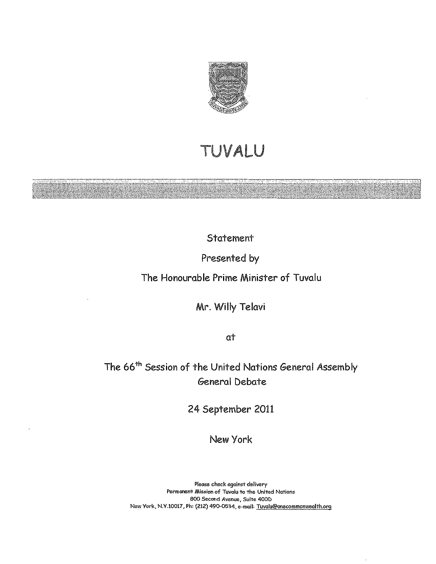

## TUVALU

Statement

Presented by

The Honourable Prime Minister of Tuvalu

Mr. Willy Telavi

at

The 66<sup>th</sup> Session of the United Nations General Assembly General Debate

24 September 2011

New York

**Please check against delivery Permanent Mission of Tuvalu to the United Nations BOO Second Avenue, Suite 400D New York, N.V.I0017, Ph: (212) 490-0534, e-mail: Tuvalu@onecommonwealth.org**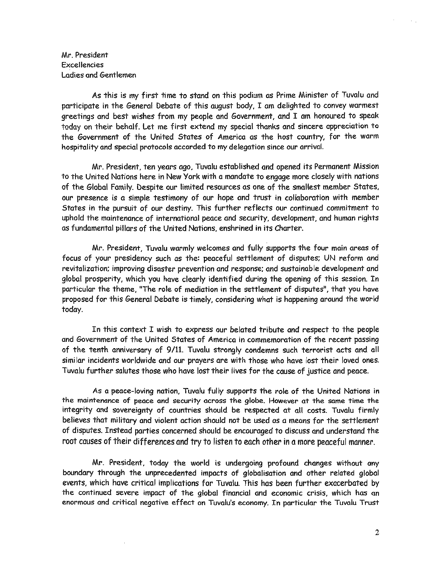Mr. President Excellencies Ladies and Gentlemen

As this is my first time to stand on this podium as Prime Minister of Tuvalu and participate in the General Debate of this august body, I am delighted to convey warmest greetings and best wishes from my people and Government, and I am honoured to speak today on their behalf. Let me first extend my special thanks and sincere appreciation to the Government of the United States of America as the host country, for the warm hospitality and special protocols accorded to my delegation since our arrival.

Mr. President, ten years ago, Tuvalu established and opened its Permanent Mission to the United Nations here in New York with a mandate to engage more closely with nations of the Global Family. Despite our limited resources as one of the smallest member States, our presence is a simple testimony of our hope and trust in collaboration with member States in the pursuit of our destiny. This further reflects our continued commitment to uphold the maintenance of international peace and security, development, and human rights as fundamental pillars of the United Nations, enshrined in its Charter.

Mr. PreSident, Tuvalu warmly welcomes and fully supports the four main areas of focus of your presidency such as the: peaceful settlement of disputes; UN reform and revitalization; improving disaster prevention and response; and sustainable development and global prosperity, which you have clearly identified during the opening of this session. In particular the theme, "The role of mediation in the settlement of disputes", that you have proposed for this General Debate is timely, considering what is happening around the world today.

In this context I wish to express our belated tribute and respect to the people and Government of the United States of America in commemoration of the recent passing of the tenth anniversary of 9/11. Tuvalu strongly condemns such terrorist acts and all similar incidents worldwide and our prayers are with those who have lost their loved ones. Tuvalu further salutes those who have lost their lives for the cause of justice and peace.

As a peace-loving nation, Tuvalu fully supports the role of the United Nations in the maintenance of peace and security across the globe. However at the same time the integrity and sovereignty of countries should be respected at all costs. Tuvalu firmly believes that military and violent action should not be used as a means for the settlement of disputes. Instead parties concerned should be encouraged to discuss and understand the root causes of their differences and try to listen to each other in a more peaceful manner.

Mr. PreSident, today the world is undergoing profound changes without any boundary through the unprecedented impacts of globalisation and other related global events, which have critical implications for Tuvalu. This has been further exacerbated by the continued severe impact of the global financial and economic crisis, which has an enormous and critical negative effect on Tuvalu's economy. In particular the Tuvalu Trust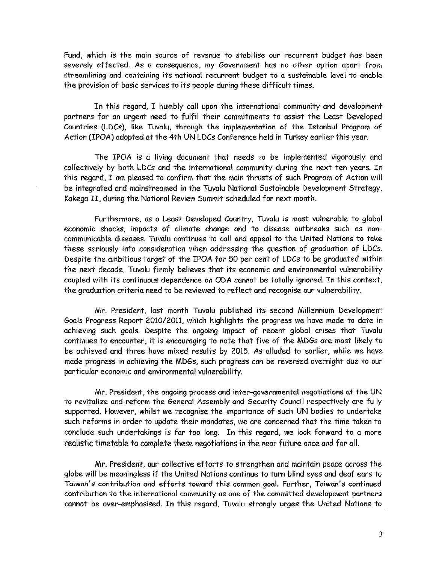Fund, which is the main source of revenue to stabilise our recurrent budget has been severely affected. As a consequence, my Government has no other option apart from streamlining and containing its national recurrent budget to a sustainable level to enable the provision of basic services to its people during these difficult times.

In this regard, I humbly call upon the international community and development partners for an urgent need to fulfil their commitments to assist the Least Developed Countries (LDCs), like Tuvalu, through the implementation of the Istanbul Program of Action (IPOA) adopted at the 4th UN LDCs Conference held in Turkey earlier this year.

The IPOA is a living document that needs to be implemented Vigorously and collectively by both LDCs and the international community during the next ten years. In this regard, I am pleased to confirm that the main thrusts of such Program of Action will be integrated and mainstreamed in the Tuvalu National Sustainable Development Strategy, Kakega II, during the National Review Summit scheduled for next month.

Furthermore, as a Least Developed Country, Tuvalu is most vulnerable to global economic shocks, impacts of climate change and to disease outbreaks such as noncommunicable diseases. Tuvalu continues to call and appeal to the United Nations to take these seriously into consideration when addressing the question of graduation of LDCs. Despite the ambitious target of the IPOA for 50 per cent of LDCs to be graduated within the next decade, Tuvalu firmly believes that its economic and environmental vulnerability coupled with its continuous dependence on ODA cannot be totally ignored. In this context, the graduation criteria need to be reviewed to reflect and recognise our vulnerability.

Mr. President, last month Tuvalu published its second Millennium Development Goals Progress Report 2010/2011, which highlights the progress we have made to date in achieving such goals. Despite the ongoing impact of recent global crises that Tuvalu continues to encounter, it is encouraging to note that five of the MDGs are most likely to be achieved and three have mixed results by 2015. As alluded to earlier, while we have made progress in achieving the MDGs, such progress can be reversed overnight due to our particular economic and environmental vulnerability.

Mr. President, the ongoing process and inter-governmental negotiations at the UN to revitalize and reform the General Assembly and Security Council respectively are fully supported. However, whilst we recognise the importance of such UN bodies to undertake such reforms in order to update their mandates, we are concerned that the time taken to conclude such undertakings is far too long. In this regard, we look forward to a more realistic timetable to complete these negotiations in the near future once and for all.

Mr, President, our collective efforts to strengthen and maintain peace across the globe will be meaningless if the United Nations continue to turn blind eyes and deaf ears to Taiwan's contribution and efforts toward this common goal. Further, Taiwan's continued contribution to the international community as one of the committed development partners cannot be over-emphasised. In this regard, Tuvalu strongly urges the United Nations to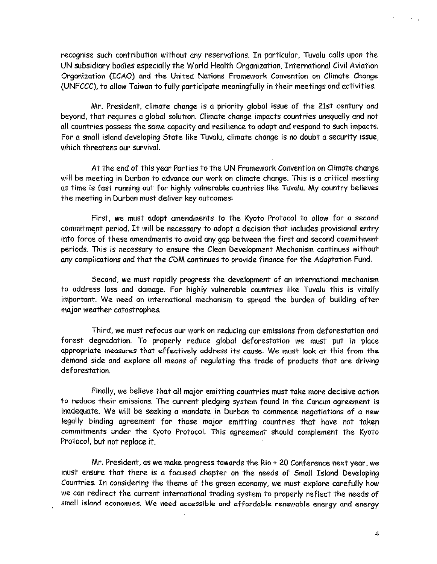recognise such contribution *without* any reservations. In particular, Tuvalu calls upon the UN subsidiary bodies especially the World Health Organization, International Civil Aviation Organization (ICAO) and the United Nations Framework Convention on Climate Change (UNFCCC), to *allow* Taiwan to fully participate meaningfully in their meetings and activities.

Mr. President, climate change is a priority global issue of the 21st century and beyond, that requires a global solution. Climate change impacts countries unequally and not all countries possess the same capacity and resilience to adapt and respond to such impacts. For a small island developing State like Tuvalu, climate change is no doubt a security issue, *which* threatens our survival.

At the end of this year Parties to the UN Framework Convention on Climate change will be meeting in Durban to advance our work on climate change. This is a critical meeting as time is fast running out for highly vulnerable countries like Tuvalu. My country believes the meeting in Durban must deliver key outcomes:

First, we must adopt amendments to the Kyoto Protocol to allow for a second commitment period. It will be necessary to adopt a decision that includes provisional entry into force of these amendments to avoid any gap between the first and second commitment periods. This is necessary to ensure the Clean Development Mechanism continues without any complications and that the CDM continues to provide finance for the Adaptation Fund.

Second, we must rapidly progress the development of an international mechanism to address loss and damage. For highly vulnerable countries like Tuvalu this is vitally important. We need an international mechanism to spread the burden of building after major weather catastrophes.

Third, we must refocus our work on reducing our emissions from deforestation and forest degradation. To properly reduce global deforestation we must put in place appropriate measures that effectively address its cause. We must look at this from the demand side and explore all means of regulating the trade of products that are driving deforestation.

Finally, we believe that all major emitting countries must take more decisive action to reduce their emissions. The current pledging system found in the Cancun agreement is inadequate. We will be seeking a mandate in Durban to commence negotiations of a new legally binding agreement for those major emitting countries that have not taken commitments under the Kyoto Protocol. This agreement should complement the Kyoto Protocol. but not replace it.

Mr. President, as we make progress towards the Rio + 20 Conference next year, we must ensure that there is a focused chapter on the needs of Small Island Developing Countries. In considering the theme of the green economy, we must explore carefully how we can redirect the current international trading system to properly reflect the needs of small island economies. We need accessible and affordable renewable energy and energy

 $\sim$   $_{\star}$